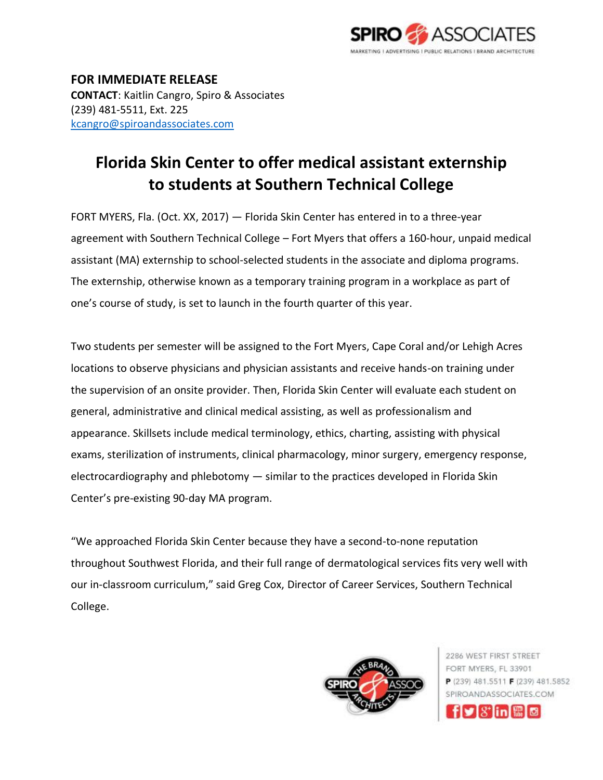

**FOR IMMEDIATE RELEASE CONTACT**: Kaitlin Cangro, Spiro & Associates (239) 481-5511, Ext. 225 [kcangro@spiroandassociates.com](mailto:kcangro@spiroandassociates.com)

## **Florida Skin Center to offer medical assistant externship to students at Southern Technical College**

FORT MYERS, Fla. (Oct. XX, 2017) — Florida Skin Center has entered in to a three-year agreement with Southern Technical College – Fort Myers that offers a 160-hour, unpaid medical assistant (MA) externship to school-selected students in the associate and diploma programs. The externship, otherwise known as a temporary training program in a workplace as part of one's course of study, is set to launch in the fourth quarter of this year.

Two students per semester will be assigned to the Fort Myers, Cape Coral and/or Lehigh Acres locations to observe physicians and physician assistants and receive hands-on training under the supervision of an onsite provider. Then, Florida Skin Center will evaluate each student on general, administrative and clinical medical assisting, as well as professionalism and appearance. Skillsets include medical terminology, ethics, charting, assisting with physical exams, sterilization of instruments, clinical pharmacology, minor surgery, emergency response, electrocardiography and phlebotomy — similar to the practices developed in Florida Skin Center's pre-existing 90-day MA program.

"We approached Florida Skin Center because they have a second-to-none reputation throughout Southwest Florida, and their full range of dermatological services fits very well with our in-classroom curriculum," said Greg Cox, Director of Career Services, Southern Technical College.



2286 WEST FIRST STREET FORT MYERS, FL 33901 P (239) 481.5511 F (239) 481.5852 SPIROANDASSOCIATES.COM fly!X'lini體[@]